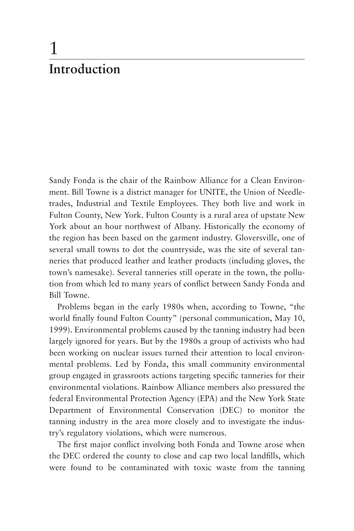## 1 **Introduction**

Sandy Fonda is the chair of the Rainbow Alliance for a Clean Environment. Bill Towne is a district manager for UNITE, the Union of Needletrades, Industrial and Textile Employees. They both live and work in Fulton County, New York. Fulton County is a rural area of upstate New York about an hour northwest of Albany. Historically the economy of the region has been based on the garment industry. Gloversville, one of several small towns to dot the countryside, was the site of several tanneries that produced leather and leather products (including gloves, the town's namesake). Several tanneries still operate in the town, the pollution from which led to many years of conflict between Sandy Fonda and Bill Towne.

Problems began in the early 1980s when, according to Towne, "the world finally found Fulton County" (personal communication, May 10, 1999). Environmental problems caused by the tanning industry had been largely ignored for years. But by the 1980s a group of activists who had been working on nuclear issues turned their attention to local environmental problems. Led by Fonda, this small community environmental group engaged in grassroots actions targeting specific tanneries for their environmental violations. Rainbow Alliance members also pressured the federal Environmental Protection Agency (EPA) and the New York State Department of Environmental Conservation (DEC) to monitor the tanning industry in the area more closely and to investigate the industry's regulatory violations, which were numerous.

The first major conflict involving both Fonda and Towne arose when the DEC ordered the county to close and cap two local landfills, which [were found to be contaminated with toxic waste from the tanning](#page--1-0)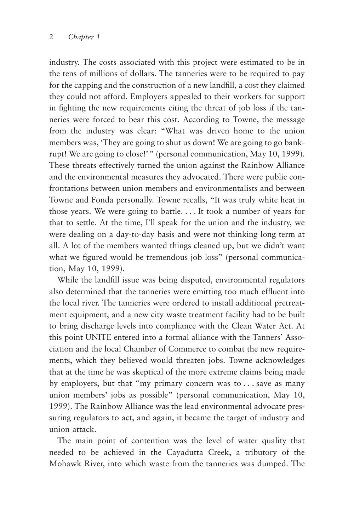industry. The costs associated with this project were estimated to be in the tens of millions of dollars. The tanneries were to be required to pay for the capping and the construction of a new landfill, a cost they claimed they could not afford. Employers appealed to their workers for support in fighting the new requirements citing the threat of job loss if the tanneries were forced to bear this cost. According to Towne, the message from the industry was clear: "What was driven home to the union members was, 'They are going to shut us down! We are going to go bankrupt! We are going to close!'" (personal communication, May 10, 1999). These threats effectively turned the union against the Rainbow Alliance and the environmental measures they advocated. There were public confrontations between union members and environmentalists and between Towne and Fonda personally. Towne recalls, "It was truly white heat in those years. We were going to battle. . . . It took a number of years for that to settle. At the time, I'll speak for the union and the industry, we were dealing on a day-to-day basis and were not thinking long term at all. A lot of the members wanted things cleaned up, but we didn't want what we figured would be tremendous job loss" (personal communication, May 10, 1999).

While the landfill issue was being disputed, environmental regulators also determined that the tanneries were emitting too much effluent into the local river. The tanneries were ordered to install additional pretreatment equipment, and a new city waste treatment facility had to be built to bring discharge levels into compliance with the Clean Water Act. At this point UNITE entered into a formal alliance with the Tanners' Association and the local Chamber of Commerce to combat the new requirements, which they believed would threaten jobs. Towne acknowledges that at the time he was skeptical of the more extreme claims being made by employers, but that "my primary concern was to . . . save as many union members' jobs as possible" (personal communication, May 10, 1999). The Rainbow Alliance was the lead environmental advocate pressuring regulators to act, and again, it became the target of industry and union attack.

The main point of contention was the level of water quality that needed to be achieved in the Cayadutta Creek, a tributory of the Mohawk River, into which waste from the tanneries was dumped. The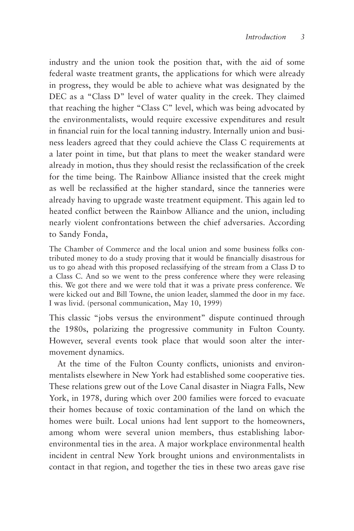industry and the union took the position that, with the aid of some federal waste treatment grants, the applications for which were already in progress, they would be able to achieve what was designated by the DEC as a "Class D" level of water quality in the creek. They claimed that reaching the higher "Class C" level, which was being advocated by the environmentalists, would require excessive expenditures and result in financial ruin for the local tanning industry. Internally union and business leaders agreed that they could achieve the Class C requirements at a later point in time, but that plans to meet the weaker standard were already in motion, thus they should resist the reclassification of the creek for the time being. The Rainbow Alliance insisted that the creek might as well be reclassified at the higher standard, since the tanneries were already having to upgrade waste treatment equipment. This again led to heated conflict between the Rainbow Alliance and the union, including nearly violent confrontations between the chief adversaries. According to Sandy Fonda,

The Chamber of Commerce and the local union and some business folks contributed money to do a study proving that it would be financially disastrous for us to go ahead with this proposed reclassifying of the stream from a Class D to a Class C. And so we went to the press conference where they were releasing this. We got there and we were told that it was a private press conference. We were kicked out and Bill Towne, the union leader, slammed the door in my face. I was livid. (personal communication, May 10, 1999)

This classic "jobs versus the environment" dispute continued through the 1980s, polarizing the progressive community in Fulton County. However, several events took place that would soon alter the intermovement dynamics.

At the time of the Fulton County conflicts, unionists and environmentalists elsewhere in New York had established some cooperative ties. These relations grew out of the Love Canal disaster in Niagra Falls, New York, in 1978, during which over 200 families were forced to evacuate their homes because of toxic contamination of the land on which the homes were built. Local unions had lent support to the homeowners, among whom were several union members, thus establishing laborenvironmental ties in the area. A major workplace environmental health incident in central New York brought unions and environmentalists in contact in that region, and together the ties in these two areas gave rise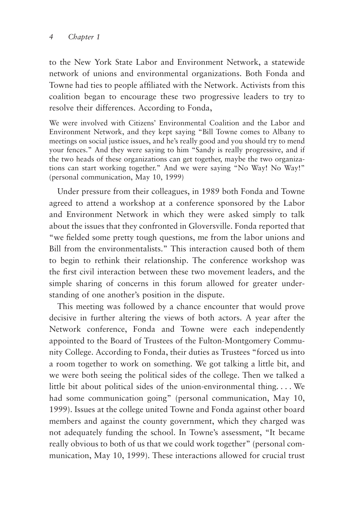to the New York State Labor and Environment Network, a statewide network of unions and environmental organizations. Both Fonda and Towne had ties to people affiliated with the Network. Activists from this coalition began to encourage these two progressive leaders to try to resolve their differences. According to Fonda,

We were involved with Citizens' Environmental Coalition and the Labor and Environment Network, and they kept saying "Bill Towne comes to Albany to meetings on social justice issues, and he's really good and you should try to mend your fences." And they were saying to him "Sandy is really progressive, and if the two heads of these organizations can get together, maybe the two organizations can start working together." And we were saying "No Way! No Way!" (personal communication, May 10, 1999)

Under pressure from their colleagues, in 1989 both Fonda and Towne agreed to attend a workshop at a conference sponsored by the Labor and Environment Network in which they were asked simply to talk about the issues that they confronted in Gloversville. Fonda reported that "we fielded some pretty tough questions, me from the labor unions and Bill from the environmentalists." This interaction caused both of them to begin to rethink their relationship. The conference workshop was the first civil interaction between these two movement leaders, and the simple sharing of concerns in this forum allowed for greater understanding of one another's position in the dispute.

This meeting was followed by a chance encounter that would prove decisive in further altering the views of both actors. A year after the Network conference, Fonda and Towne were each independently appointed to the Board of Trustees of the Fulton-Montgomery Community College. According to Fonda, their duties as Trustees "forced us into a room together to work on something. We got talking a little bit, and we were both seeing the political sides of the college. Then we talked a little bit about political sides of the union-environmental thing. . . . We had some communication going" (personal communication, May 10, 1999). Issues at the college united Towne and Fonda against other board members and against the county government, which they charged was not adequately funding the school. In Towne's assessment, "It became really obvious to both of us that we could work together" (personal communication, May 10, 1999). These interactions allowed for crucial trust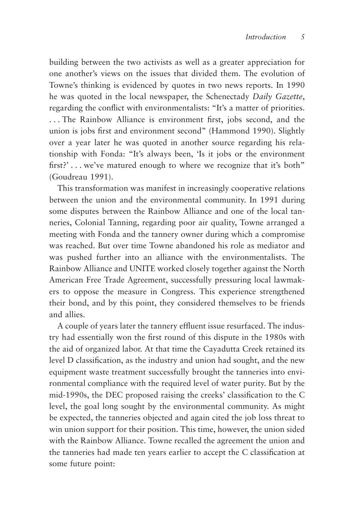building between the two activists as well as a greater appreciation for one another's views on the issues that divided them. The evolution of Towne's thinking is evidenced by quotes in two news reports. In 1990 he was quoted in the local newspaper, the Schenectady *Daily Gazette*, regarding the conflict with environmentalists: "It's a matter of priorities. . . . The Rainbow Alliance is environment first, jobs second, and the union is jobs first and environment second" (Hammond 1990). Slightly over a year later he was quoted in another source regarding his relationship with Fonda: "It's always been, 'Is it jobs or the environment first?' ...we've matured enough to where we recognize that it's both" (Goudreau 1991).

This transformation was manifest in increasingly cooperative relations between the union and the environmental community. In 1991 during some disputes between the Rainbow Alliance and one of the local tanneries, Colonial Tanning, regarding poor air quality, Towne arranged a meeting with Fonda and the tannery owner during which a compromise was reached. But over time Towne abandoned his role as mediator and was pushed further into an alliance with the environmentalists. The Rainbow Alliance and UNITE worked closely together against the North American Free Trade Agreement, successfully pressuring local lawmakers to oppose the measure in Congress. This experience strengthened their bond, and by this point, they considered themselves to be friends and allies.

A couple of years later the tannery effluent issue resurfaced. The industry had essentially won the first round of this dispute in the 1980s with the aid of organized labor. At that time the Cayadutta Creek retained its level D classification, as the industry and union had sought, and the new equipment waste treatment successfully brought the tanneries into environmental compliance with the required level of water purity. But by the mid-1990s, the DEC proposed raising the creeks' classification to the C level, the goal long sought by the environmental community. As might be expected, the tanneries objected and again cited the job loss threat to win union support for their position. This time, however, the union sided with the Rainbow Alliance. Towne recalled the agreement the union and the tanneries had made ten years earlier to accept the C classification at some future point: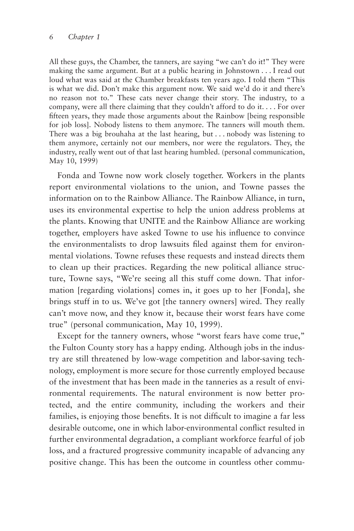All these guys, the Chamber, the tanners, are saying "we can't do it!" They were making the same argument. But at a public hearing in Johnstown . . . I read out loud what was said at the Chamber breakfasts ten years ago. I told them "This is what we did. Don't make this argument now. We said we'd do it and there's no reason not to." These cats never change their story. The industry, to a company, were all there claiming that they couldn't afford to do it. . . . For over fifteen years, they made those arguments about the Rainbow [being responsible for job loss]. Nobody listens to them anymore. The tanners will mouth them. There was a big brouhaha at the last hearing, but . . . nobody was listening to them anymore, certainly not our members, nor were the regulators. They, the industry, really went out of that last hearing humbled. (personal communication, May 10, 1999)

Fonda and Towne now work closely together. Workers in the plants report environmental violations to the union, and Towne passes the information on to the Rainbow Alliance. The Rainbow Alliance, in turn, uses its environmental expertise to help the union address problems at the plants. Knowing that UNITE and the Rainbow Alliance are working together, employers have asked Towne to use his influence to convince the environmentalists to drop lawsuits filed against them for environmental violations. Towne refuses these requests and instead directs them to clean up their practices. Regarding the new political alliance structure, Towne says, "We're seeing all this stuff come down. That information [regarding violations] comes in, it goes up to her [Fonda], she brings stuff in to us. We've got [the tannery owners] wired. They really can't move now, and they know it, because their worst fears have come true" (personal communication, May 10, 1999).

Except for the tannery owners, whose "worst fears have come true," the Fulton County story has a happy ending. Although jobs in the industry are still threatened by low-wage competition and labor-saving technology, employment is more secure for those currently employed because of the investment that has been made in the tanneries as a result of environmental requirements. The natural environment is now better protected, and the entire community, including the workers and their families, is enjoying those benefits. It is not difficult to imagine a far less desirable outcome, one in which labor-environmental conflict resulted in further environmental degradation, a compliant workforce fearful of job loss, and a fractured progressive community incapable of advancing any positive change. This has been the outcome in countless other commu-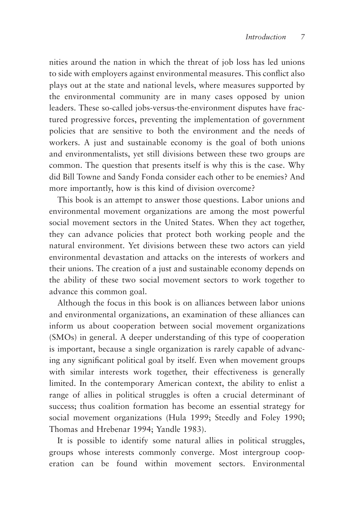nities around the nation in which the threat of job loss has led unions to side with employers against environmental measures. This conflict also plays out at the state and national levels, where measures supported by the environmental community are in many cases opposed by union leaders. These so-called jobs-versus-the-environment disputes have fractured progressive forces, preventing the implementation of government policies that are sensitive to both the environment and the needs of workers. A just and sustainable economy is the goal of both unions and environmentalists, yet still divisions between these two groups are common. The question that presents itself is why this is the case. Why did Bill Towne and Sandy Fonda consider each other to be enemies? And more importantly, how is this kind of division overcome?

This book is an attempt to answer those questions. Labor unions and environmental movement organizations are among the most powerful social movement sectors in the United States. When they act together, they can advance policies that protect both working people and the natural environment. Yet divisions between these two actors can yield environmental devastation and attacks on the interests of workers and their unions. The creation of a just and sustainable economy depends on the ability of these two social movement sectors to work together to advance this common goal.

Although the focus in this book is on alliances between labor unions and environmental organizations, an examination of these alliances can inform us about cooperation between social movement organizations (SMOs) in general. A deeper understanding of this type of cooperation is important, because a single organization is rarely capable of advancing any significant political goal by itself. Even when movement groups with similar interests work together, their effectiveness is generally limited. In the contemporary American context, the ability to enlist a range of allies in political struggles is often a crucial determinant of success; thus coalition formation has become an essential strategy for social movement organizations (Hula 1999; Steedly and Foley 1990; Thomas and Hrebenar 1994; Yandle 1983).

It is possible to identify some natural allies in political struggles, groups whose interests commonly converge. Most intergroup cooperation can be found within movement sectors. Environmental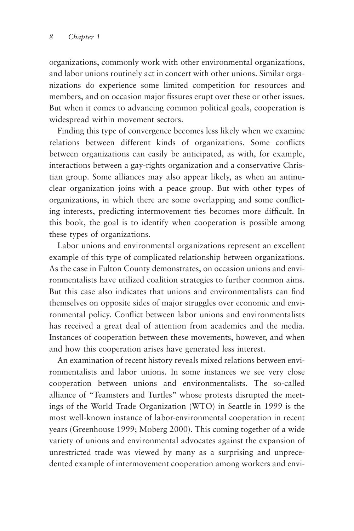organizations, commonly work with other environmental organizations, and labor unions routinely act in concert with other unions. Similar organizations do experience some limited competition for resources and members, and on occasion major fissures erupt over these or other issues. But when it comes to advancing common political goals, cooperation is widespread within movement sectors.

Finding this type of convergence becomes less likely when we examine relations between different kinds of organizations. Some conflicts between organizations can easily be anticipated, as with, for example, interactions between a gay-rights organization and a conservative Christian group. Some alliances may also appear likely, as when an antinuclear organization joins with a peace group. But with other types of organizations, in which there are some overlapping and some conflicting interests, predicting intermovement ties becomes more difficult. In this book, the goal is to identify when cooperation is possible among these types of organizations.

Labor unions and environmental organizations represent an excellent example of this type of complicated relationship between organizations. As the case in Fulton County demonstrates, on occasion unions and environmentalists have utilized coalition strategies to further common aims. But this case also indicates that unions and environmentalists can find themselves on opposite sides of major struggles over economic and environmental policy. Conflict between labor unions and environmentalists has received a great deal of attention from academics and the media. Instances of cooperation between these movements, however, and when and how this cooperation arises have generated less interest.

An examination of recent history reveals mixed relations between environmentalists and labor unions. In some instances we see very close cooperation between unions and environmentalists. The so-called alliance of "Teamsters and Turtles" whose protests disrupted the meetings of the World Trade Organization (WTO) in Seattle in 1999 is the most well-known instance of labor-environmental cooperation in recent years (Greenhouse 1999; Moberg 2000). This coming together of a wide variety of unions and environmental advocates against the expansion of unrestricted trade was viewed by many as a surprising and unprecedented example of intermovement cooperation among workers and envi-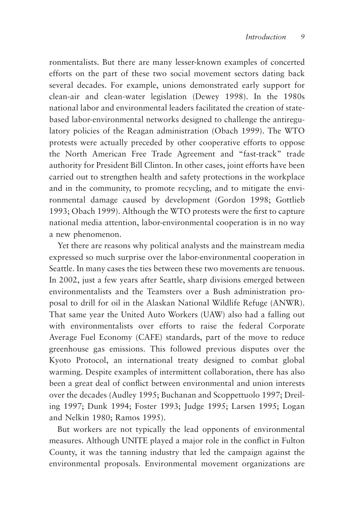ronmentalists. But there are many lesser-known examples of concerted efforts on the part of these two social movement sectors dating back several decades. For example, unions demonstrated early support for clean-air and clean-water legislation (Dewey 1998). In the 1980s national labor and environmental leaders facilitated the creation of statebased labor-environmental networks designed to challenge the antiregulatory policies of the Reagan administration (Obach 1999). The WTO protests were actually preceded by other cooperative efforts to oppose the North American Free Trade Agreement and "fast-track" trade authority for President Bill Clinton. In other cases, joint efforts have been carried out to strengthen health and safety protections in the workplace and in the community, to promote recycling, and to mitigate the environmental damage caused by development (Gordon 1998; Gottlieb 1993; Obach 1999). Although the WTO protests were the first to capture national media attention, labor-environmental cooperation is in no way a new phenomenon.

Yet there are reasons why political analysts and the mainstream media expressed so much surprise over the labor-environmental cooperation in Seattle. In many cases the ties between these two movements are tenuous. In 2002, just a few years after Seattle, sharp divisions emerged between environmentalists and the Teamsters over a Bush administration proposal to drill for oil in the Alaskan National Wildlife Refuge (ANWR). That same year the United Auto Workers (UAW) also had a falling out with environmentalists over efforts to raise the federal Corporate Average Fuel Economy (CAFE) standards, part of the move to reduce greenhouse gas emissions. This followed previous disputes over the Kyoto Protocol, an international treaty designed to combat global warming. Despite examples of intermittent collaboration, there has also been a great deal of conflict between environmental and union interests over the decades (Audley 1995; Buchanan and Scoppettuolo 1997; Dreiling 1997; Dunk 1994; Foster 1993; Judge 1995; Larsen 1995; Logan and Nelkin 1980; Ramos 1995).

But workers are not typically the lead opponents of environmental measures. Although UNITE played a major role in the conflict in Fulton County, it was the tanning industry that led the campaign against the environmental proposals. Environmental movement organizations are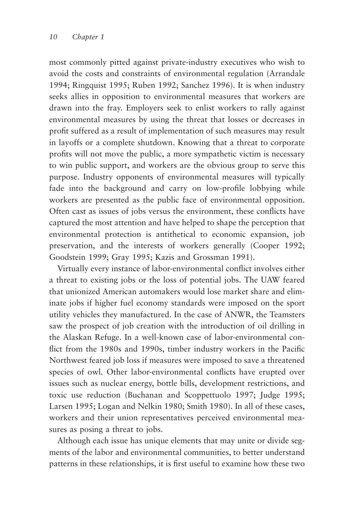most commonly pitted against private-industry executives who wish to avoid the costs and constraints of environmental regulation (Arrandale 1994; Ringquist 1995; Ruben 1992; Sanchez 1996). It is when industry seeks allies in opposition to environmental measures that workers are drawn into the fray. Employers seek to enlist workers to rally against environmental measures by using the threat that losses or decreases in profit suffered as a result of implementation of such measures may result in layoffs or a complete shutdown. Knowing that a threat to corporate profits will not move the public, a more sympathetic victim is necessary to win public support, and workers are the obvious group to serve this purpose. Industry opponents of environmental measures will typically fade into the background and carry on low-profile lobbying while workers are presented as the public face of environmental opposition. Often cast as issues of jobs versus the environment, these conflicts have captured the most attention and have helped to shape the perception that environmental protection is antithetical to economic expansion, job preservation, and the interests of workers generally (Cooper 1992; Goodstein 1999; Gray 1995; Kazis and Grossman 1991).

Virtually every instance of labor-environmental conflict involves either a threat to existing jobs or the loss of potential jobs. The UAW feared that unionized American automakers would lose market share and eliminate jobs if higher fuel economy standards were imposed on the sport utility vehicles they manufactured. In the case of ANWR, the Teamsters saw the prospect of job creation with the introduction of oil drilling in the Alaskan Refuge. In a well-known case of labor-environmental conflict from the 1980s and 1990s, timber industry workers in the Pacific Northwest feared job loss if measures were imposed to save a threatened species of owl. Other labor-environmental conflicts have erupted over issues such as nuclear energy, bottle bills, development restrictions, and toxic use reduction (Buchanan and Scoppettuolo 1997; Judge 1995; Larsen 1995; Logan and Nelkin 1980; Smith 1980). In all of these cases, workers and their union representatives perceived environmental measures as posing a threat to jobs.

Although each issue has unique elements that may unite or divide segments of the labor and environmental communities, to better understand patterns in these relationships, it is first useful to examine how these two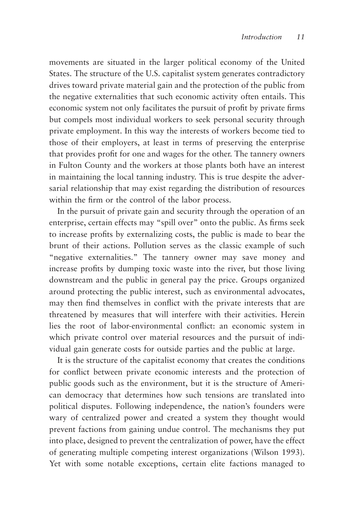movements are situated in the larger political economy of the United States. The structure of the U.S. capitalist system generates contradictory drives toward private material gain and the protection of the public from the negative externalities that such economic activity often entails. This economic system not only facilitates the pursuit of profit by private firms but compels most individual workers to seek personal security through private employment. In this way the interests of workers become tied to those of their employers, at least in terms of preserving the enterprise that provides profit for one and wages for the other. The tannery owners in Fulton County and the workers at those plants both have an interest in maintaining the local tanning industry. This is true despite the adversarial relationship that may exist regarding the distribution of resources within the firm or the control of the labor process.

In the pursuit of private gain and security through the operation of an enterprise, certain effects may "spill over" onto the public. As firms seek to increase profits by externalizing costs, the public is made to bear the brunt of their actions. Pollution serves as the classic example of such "negative externalities." The tannery owner may save money and increase profits by dumping toxic waste into the river, but those living downstream and the public in general pay the price. Groups organized around protecting the public interest, such as environmental advocates, may then find themselves in conflict with the private interests that are threatened by measures that will interfere with their activities. Herein lies the root of labor-environmental conflict: an economic system in which private control over material resources and the pursuit of individual gain generate costs for outside parties and the public at large.

It is the structure of the capitalist economy that creates the conditions for conflict between private economic interests and the protection of public goods such as the environment, but it is the structure of American democracy that determines how such tensions are translated into political disputes. Following independence, the nation's founders were wary of centralized power and created a system they thought would prevent factions from gaining undue control. The mechanisms they put into place, designed to prevent the centralization of power, have the effect of generating multiple competing interest organizations (Wilson 1993). Yet with some notable exceptions, certain elite factions managed to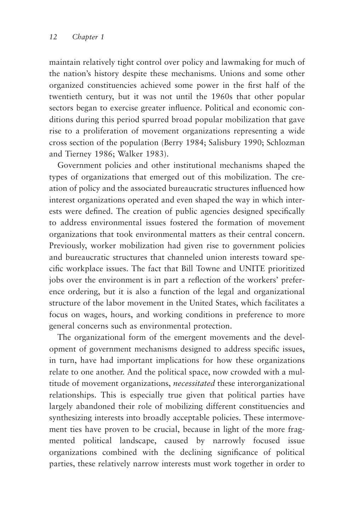maintain relatively tight control over policy and lawmaking for much of the nation's history despite these mechanisms. Unions and some other organized constituencies achieved some power in the first half of the twentieth century, but it was not until the 1960s that other popular sectors began to exercise greater influence. Political and economic conditions during this period spurred broad popular mobilization that gave rise to a proliferation of movement organizations representing a wide cross section of the population (Berry 1984; Salisbury 1990; Schlozman and Tierney 1986; Walker 1983).

Government policies and other institutional mechanisms shaped the types of organizations that emerged out of this mobilization. The creation of policy and the associated bureaucratic structures influenced how interest organizations operated and even shaped the way in which interests were defined. The creation of public agencies designed specifically to address environmental issues fostered the formation of movement organizations that took environmental matters as their central concern. Previously, worker mobilization had given rise to government policies and bureaucratic structures that channeled union interests toward specific workplace issues. The fact that Bill Towne and UNITE prioritized jobs over the environment is in part a reflection of the workers' preference ordering, but it is also a function of the legal and organizational structure of the labor movement in the United States, which facilitates a focus on wages, hours, and working conditions in preference to more general concerns such as environmental protection.

The organizational form of the emergent movements and the development of government mechanisms designed to address specific issues, in turn, have had important implications for how these organizations relate to one another. And the political space, now crowded with a multitude of movement organizations, *necessitated* these interorganizational relationships. This is especially true given that political parties have largely abandoned their role of mobilizing different constituencies and synthesizing interests into broadly acceptable policies. These intermovement ties have proven to be crucial, because in light of the more fragmented political landscape, caused by narrowly focused issue organizations combined with the declining significance of political parties, these relatively narrow interests must work together in order to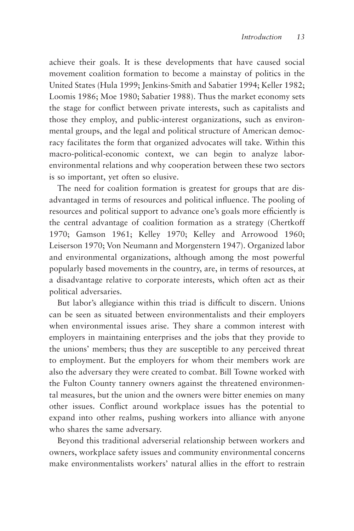achieve their goals. It is these developments that have caused social movement coalition formation to become a mainstay of politics in the United States (Hula 1999; Jenkins-Smith and Sabatier 1994; Keller 1982; Loomis 1986; Moe 1980; Sabatier 1988). Thus the market economy sets the stage for conflict between private interests, such as capitalists and those they employ, and public-interest organizations, such as environmental groups, and the legal and political structure of American democracy facilitates the form that organized advocates will take. Within this macro-political-economic context, we can begin to analyze laborenvironmental relations and why cooperation between these two sectors is so important, yet often so elusive.

The need for coalition formation is greatest for groups that are disadvantaged in terms of resources and political influence. The pooling of resources and political support to advance one's goals more efficiently is the central advantage of coalition formation as a strategy (Chertkoff 1970; Gamson 1961; Kelley 1970; Kelley and Arrowood 1960; Leiserson 1970; Von Neumann and Morgenstern 1947). Organized labor and environmental organizations, although among the most powerful popularly based movements in the country, are, in terms of resources, at a disadvantage relative to corporate interests, which often act as their political adversaries.

But labor's allegiance within this triad is difficult to discern. Unions can be seen as situated between environmentalists and their employers when environmental issues arise. They share a common interest with employers in maintaining enterprises and the jobs that they provide to the unions' members; thus they are susceptible to any perceived threat to employment. But the employers for whom their members work are also the adversary they were created to combat. Bill Towne worked with the Fulton County tannery owners against the threatened environmental measures, but the union and the owners were bitter enemies on many other issues. Conflict around workplace issues has the potential to expand into other realms, pushing workers into alliance with anyone who shares the same adversary.

Beyond this traditional adverserial relationship between workers and owners, workplace safety issues and community environmental concerns make environmentalists workers' natural allies in the effort to restrain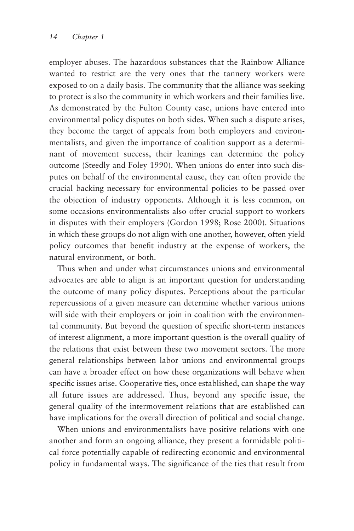employer abuses. The hazardous substances that the Rainbow Alliance wanted to restrict are the very ones that the tannery workers were exposed to on a daily basis. The community that the alliance was seeking to protect is also the community in which workers and their families live. As demonstrated by the Fulton County case, unions have entered into environmental policy disputes on both sides. When such a dispute arises, they become the target of appeals from both employers and environmentalists, and given the importance of coalition support as a determinant of movement success, their leanings can determine the policy outcome (Steedly and Foley 1990). When unions do enter into such disputes on behalf of the environmental cause, they can often provide the crucial backing necessary for environmental policies to be passed over the objection of industry opponents. Although it is less common, on some occasions environmentalists also offer crucial support to workers in disputes with their employers (Gordon 1998; Rose 2000). Situations in which these groups do not align with one another, however, often yield policy outcomes that benefit industry at the expense of workers, the natural environment, or both.

Thus when and under what circumstances unions and environmental advocates are able to align is an important question for understanding the outcome of many policy disputes. Perceptions about the particular repercussions of a given measure can determine whether various unions will side with their employers or join in coalition with the environmental community. But beyond the question of specific short-term instances of interest alignment, a more important question is the overall quality of the relations that exist between these two movement sectors. The more general relationships between labor unions and environmental groups can have a broader effect on how these organizations will behave when specific issues arise. Cooperative ties, once established, can shape the way all future issues are addressed. Thus, beyond any specific issue, the general quality of the intermovement relations that are established can have implications for the overall direction of political and social change.

When unions and environmentalists have positive relations with one another and form an ongoing alliance, they present a formidable political force potentially capable of redirecting economic and environmental policy in fundamental ways. The significance of the ties that result from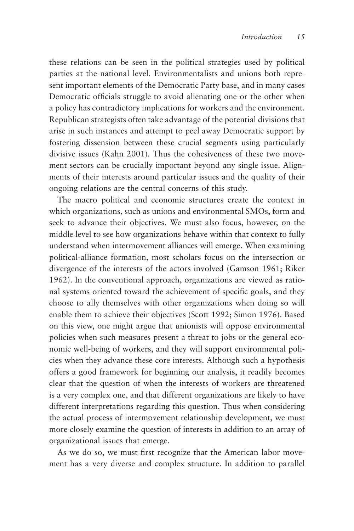these relations can be seen in the political strategies used by political parties at the national level. Environmentalists and unions both represent important elements of the Democratic Party base, and in many cases Democratic officials struggle to avoid alienating one or the other when a policy has contradictory implications for workers and the environment. Republican strategists often take advantage of the potential divisions that arise in such instances and attempt to peel away Democratic support by fostering dissension between these crucial segments using particularly divisive issues (Kahn 2001). Thus the cohesiveness of these two movement sectors can be crucially important beyond any single issue. Alignments of their interests around particular issues and the quality of their ongoing relations are the central concerns of this study.

The macro political and economic structures create the context in which organizations, such as unions and environmental SMOs, form and seek to advance their objectives. We must also focus, however, on the middle level to see how organizations behave within that context to fully understand when intermovement alliances will emerge. When examining political-alliance formation, most scholars focus on the intersection or divergence of the interests of the actors involved (Gamson 1961; Riker 1962). In the conventional approach, organizations are viewed as rational systems oriented toward the achievement of specific goals, and they choose to ally themselves with other organizations when doing so will enable them to achieve their objectives (Scott 1992; Simon 1976). Based on this view, one might argue that unionists will oppose environmental policies when such measures present a threat to jobs or the general economic well-being of workers, and they will support environmental policies when they advance these core interests. Although such a hypothesis offers a good framework for beginning our analysis, it readily becomes clear that the question of when the interests of workers are threatened is a very complex one, and that different organizations are likely to have different interpretations regarding this question. Thus when considering the actual process of intermovement relationship development, we must more closely examine the question of interests in addition to an array of organizational issues that emerge.

As we do so, we must first recognize that the American labor movement has a very diverse and complex structure. In addition to parallel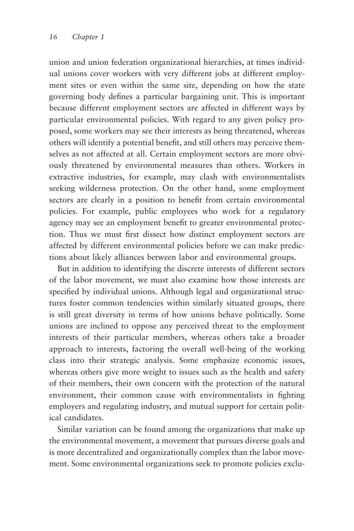union and union federation organizational hierarchies, at times individual unions cover workers with very different jobs at different employment sites or even within the same site, depending on how the state governing body defines a particular bargaining unit. This is important because different employment sectors are affected in different ways by particular environmental policies. With regard to any given policy proposed, some workers may see their interests as being threatened, whereas others will identify a potential benefit, and still others may perceive themselves as not affected at all. Certain employment sectors are more obviously threatened by environmental measures than others. Workers in extractive industries, for example, may clash with environmentalists seeking wilderness protection. On the other hand, some employment sectors are clearly in a position to benefit from certain environmental policies. For example, public employees who work for a regulatory agency may see an employment benefit to greater environmental protection. Thus we must first dissect how distinct employment sectors are affected by different environmental policies before we can make predictions about likely alliances between labor and environmental groups.

But in addition to identifying the discrete interests of different sectors of the labor movement, we must also examine how those interests are specified by individual unions. Although legal and organizational structures foster common tendencies within similarly situated groups, there is still great diversity in terms of how unions behave politically. Some unions are inclined to oppose any perceived threat to the employment interests of their particular members, whereas others take a broader approach to interests, factoring the overall well-being of the working class into their strategic analysis. Some emphasize economic issues, whereas others give more weight to issues such as the health and safety of their members, their own concern with the protection of the natural environment, their common cause with environmentalists in fighting employers and regulating industry, and mutual support for certain political candidates.

Similar variation can be found among the organizations that make up the environmental movement, a movement that pursues diverse goals and is more decentralized and organizationally complex than the labor movement. Some environmental organizations seek to promote policies exclu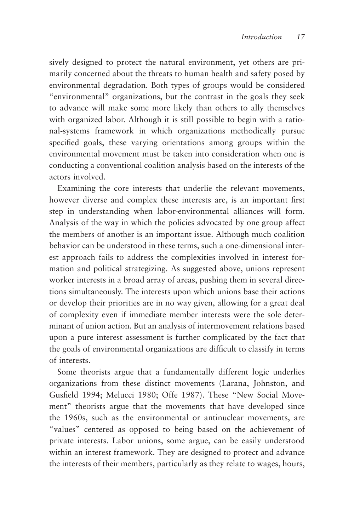sively designed to protect the natural environment, yet others are primarily concerned about the threats to human health and safety posed by environmental degradation. Both types of groups would be considered "environmental" organizations, but the contrast in the goals they seek to advance will make some more likely than others to ally themselves with organized labor. Although it is still possible to begin with a rational-systems framework in which organizations methodically pursue specified goals, these varying orientations among groups within the environmental movement must be taken into consideration when one is conducting a conventional coalition analysis based on the interests of the actors involved.

Examining the core interests that underlie the relevant movements, however diverse and complex these interests are, is an important first step in understanding when labor-environmental alliances will form. Analysis of the way in which the policies advocated by one group affect the members of another is an important issue. Although much coalition behavior can be understood in these terms, such a one-dimensional interest approach fails to address the complexities involved in interest formation and political strategizing. As suggested above, unions represent worker interests in a broad array of areas, pushing them in several directions simultaneously. The interests upon which unions base their actions or develop their priorities are in no way given, allowing for a great deal of complexity even if immediate member interests were the sole determinant of union action. But an analysis of intermovement relations based upon a pure interest assessment is further complicated by the fact that the goals of environmental organizations are difficult to classify in terms of interests.

Some theorists argue that a fundamentally different logic underlies organizations from these distinct movements (Larana, Johnston, and Gusfield 1994; Melucci 1980; Offe 1987). These "New Social Movement" theorists argue that the movements that have developed since the 1960s, such as the environmental or antinuclear movements, are "values" centered as opposed to being based on the achievement of private interests. Labor unions, some argue, can be easily understood within an interest framework. They are designed to protect and advance the interests of their members, particularly as they relate to wages, hours,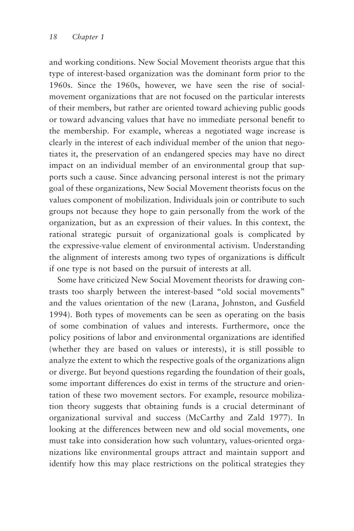and working conditions. New Social Movement theorists argue that this type of interest-based organization was the dominant form prior to the 1960s. Since the 1960s, however, we have seen the rise of socialmovement organizations that are not focused on the particular interests of their members, but rather are oriented toward achieving public goods or toward advancing values that have no immediate personal benefit to the membership. For example, whereas a negotiated wage increase is clearly in the interest of each individual member of the union that negotiates it, the preservation of an endangered species may have no direct impact on an individual member of an environmental group that supports such a cause. Since advancing personal interest is not the primary goal of these organizations, New Social Movement theorists focus on the values component of mobilization. Individuals join or contribute to such groups not because they hope to gain personally from the work of the organization, but as an expression of their values. In this context, the rational strategic pursuit of organizational goals is complicated by the expressive-value element of environmental activism. Understanding the alignment of interests among two types of organizations is difficult if one type is not based on the pursuit of interests at all.

Some have criticized New Social Movement theorists for drawing contrasts too sharply between the interest-based "old social movements" and the values orientation of the new (Larana, Johnston, and Gusfield 1994). Both types of movements can be seen as operating on the basis of some combination of values and interests. Furthermore, once the policy positions of labor and environmental organizations are identified (whether they are based on values or interests), it is still possible to analyze the extent to which the respective goals of the organizations align or diverge. But beyond questions regarding the foundation of their goals, some important differences do exist in terms of the structure and orientation of these two movement sectors. For example, resource mobilization theory suggests that obtaining funds is a crucial determinant of organizational survival and success (McCarthy and Zald 1977). In looking at the differences between new and old social movements, one must take into consideration how such voluntary, values-oriented organizations like environmental groups attract and maintain support and identify how this may place restrictions on the political strategies they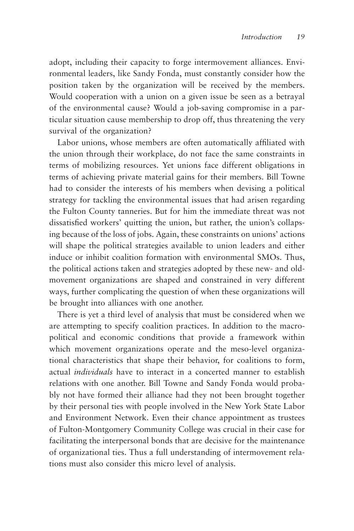adopt, including their capacity to forge intermovement alliances. Environmental leaders, like Sandy Fonda, must constantly consider how the position taken by the organization will be received by the members. Would cooperation with a union on a given issue be seen as a betrayal of the environmental cause? Would a job-saving compromise in a particular situation cause membership to drop off, thus threatening the very survival of the organization?

Labor unions, whose members are often automatically affiliated with the union through their workplace, do not face the same constraints in terms of mobilizing resources. Yet unions face different obligations in terms of achieving private material gains for their members. Bill Towne had to consider the interests of his members when devising a political strategy for tackling the environmental issues that had arisen regarding the Fulton County tanneries. But for him the immediate threat was not dissatisfied workers' quitting the union, but rather, the union's collapsing because of the loss of jobs. Again, these constraints on unions' actions will shape the political strategies available to union leaders and either induce or inhibit coalition formation with environmental SMOs. Thus, the political actions taken and strategies adopted by these new- and oldmovement organizations are shaped and constrained in very different ways, further complicating the question of when these organizations will be brought into alliances with one another.

There is yet a third level of analysis that must be considered when we are attempting to specify coalition practices. In addition to the macropolitical and economic conditions that provide a framework within which movement organizations operate and the meso-level organizational characteristics that shape their behavior, for coalitions to form, actual *individuals* have to interact in a concerted manner to establish relations with one another. Bill Towne and Sandy Fonda would probably not have formed their alliance had they not been brought together by their personal ties with people involved in the New York State Labor and Environment Network. Even their chance appointment as trustees of Fulton-Montgomery Community College was crucial in their case for facilitating the interpersonal bonds that are decisive for the maintenance of organizational ties. Thus a full understanding of intermovement relations must also consider this micro level of analysis.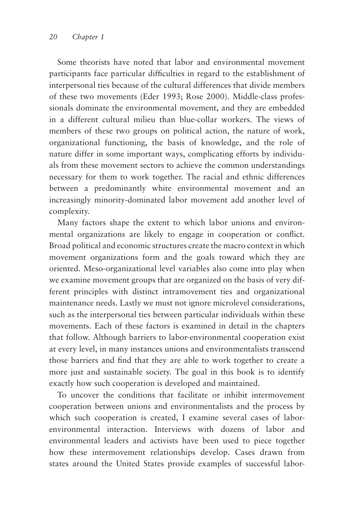Some theorists have noted that labor and environmental movement participants face particular difficulties in regard to the establishment of interpersonal ties because of the cultural differences that divide members of these two movements (Eder 1993; Rose 2000). Middle-class professionals dominate the environmental movement, and they are embedded in a different cultural milieu than blue-collar workers. The views of members of these two groups on political action, the nature of work, organizational functioning, the basis of knowledge, and the role of nature differ in some important ways, complicating efforts by individuals from these movement sectors to achieve the common understandings necessary for them to work together. The racial and ethnic differences between a predominantly white environmental movement and an increasingly minority-dominated labor movement add another level of complexity.

Many factors shape the extent to which labor unions and environmental organizations are likely to engage in cooperation or conflict. Broad political and economic structures create the macro context in which movement organizations form and the goals toward which they are oriented. Meso-organizational level variables also come into play when we examine movement groups that are organized on the basis of very different principles with distinct intramovement ties and organizational maintenance needs. Lastly we must not ignore microlevel considerations, such as the interpersonal ties between particular individuals within these movements. Each of these factors is examined in detail in the chapters that follow. Although barriers to labor-environmental cooperation exist at every level, in many instances unions and environmentalists transcend those barriers and find that they are able to work together to create a more just and sustainable society. The goal in this book is to identify exactly how such cooperation is developed and maintained.

To uncover the conditions that facilitate or inhibit intermovement cooperation between unions and environmentalists and the process by which such cooperation is created, I examine several cases of laborenvironmental interaction. Interviews with dozens of labor and environmental leaders and activists have been used to piece together how these intermovement relationships develop. Cases drawn from states around the United States provide examples of successful labor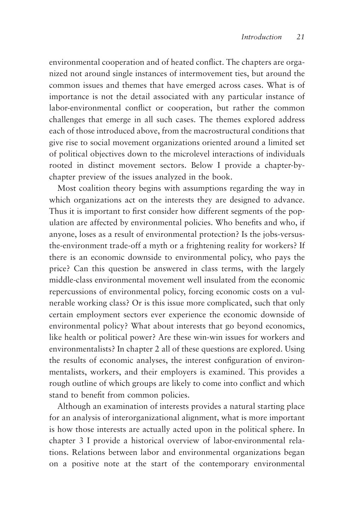environmental cooperation and of heated conflict. The chapters are organized not around single instances of intermovement ties, but around the common issues and themes that have emerged across cases. What is of importance is not the detail associated with any particular instance of labor-environmental conflict or cooperation, but rather the common challenges that emerge in all such cases. The themes explored address each of those introduced above, from the macrostructural conditions that give rise to social movement organizations oriented around a limited set of political objectives down to the microlevel interactions of individuals rooted in distinct movement sectors. Below I provide a chapter-bychapter preview of the issues analyzed in the book.

Most coalition theory begins with assumptions regarding the way in which organizations act on the interests they are designed to advance. Thus it is important to first consider how different segments of the population are affected by environmental policies. Who benefits and who, if anyone, loses as a result of environmental protection? Is the jobs-versusthe-environment trade-off a myth or a frightening reality for workers? If there is an economic downside to environmental policy, who pays the price? Can this question be answered in class terms, with the largely middle-class environmental movement well insulated from the economic repercussions of environmental policy, forcing economic costs on a vulnerable working class? Or is this issue more complicated, such that only certain employment sectors ever experience the economic downside of environmental policy? What about interests that go beyond economics, like health or political power? Are these win-win issues for workers and environmentalists? In chapter 2 all of these questions are explored. Using the results of economic analyses, the interest configuration of environmentalists, workers, and their employers is examined. This provides a rough outline of which groups are likely to come into conflict and which stand to benefit from common policies.

Although an examination of interests provides a natural starting place for an analysis of interorganizational alignment, what is more important is how those interests are actually acted upon in the political sphere. In chapter 3 I provide a historical overview of labor-environmental relations. Relations between labor and environmental organizations began on a positive note at the start of the contemporary environmental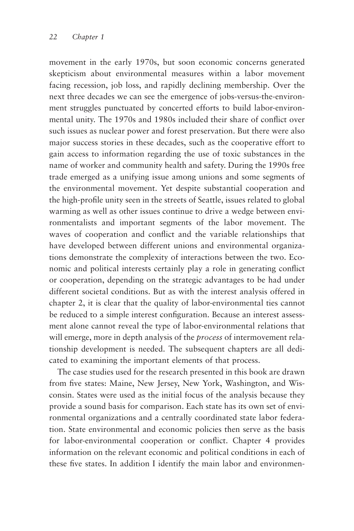movement in the early 1970s, but soon economic concerns generated skepticism about environmental measures within a labor movement facing recession, job loss, and rapidly declining membership. Over the next three decades we can see the emergence of jobs-versus-the-environment struggles punctuated by concerted efforts to build labor-environmental unity. The 1970s and 1980s included their share of conflict over such issues as nuclear power and forest preservation. But there were also major success stories in these decades, such as the cooperative effort to gain access to information regarding the use of toxic substances in the name of worker and community health and safety. During the 1990s free trade emerged as a unifying issue among unions and some segments of the environmental movement. Yet despite substantial cooperation and the high-profile unity seen in the streets of Seattle, issues related to global warming as well as other issues continue to drive a wedge between environmentalists and important segments of the labor movement. The waves of cooperation and conflict and the variable relationships that have developed between different unions and environmental organizations demonstrate the complexity of interactions between the two. Economic and political interests certainly play a role in generating conflict or cooperation, depending on the strategic advantages to be had under different societal conditions. But as with the interest analysis offered in chapter 2, it is clear that the quality of labor-environmental ties cannot be reduced to a simple interest configuration. Because an interest assessment alone cannot reveal the type of labor-environmental relations that will emerge, more in depth analysis of the *process* of intermovement relationship development is needed. The subsequent chapters are all dedicated to examining the important elements of that process.

The case studies used for the research presented in this book are drawn from five states: Maine, New Jersey, New York, Washington, and Wisconsin. States were used as the initial focus of the analysis because they provide a sound basis for comparison. Each state has its own set of environmental organizations and a centrally coordinated state labor federation. State environmental and economic policies then serve as the basis for labor-environmental cooperation or conflict. Chapter 4 provides information on the relevant economic and political conditions in each of these five states. In addition I identify the main labor and environmen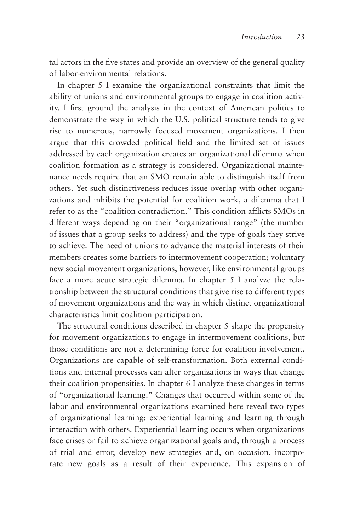tal actors in the five states and provide an overview of the general quality of labor-environmental relations.

In chapter 5 I examine the organizational constraints that limit the ability of unions and environmental groups to engage in coalition activity. I first ground the analysis in the context of American politics to demonstrate the way in which the U.S. political structure tends to give rise to numerous, narrowly focused movement organizations. I then argue that this crowded political field and the limited set of issues addressed by each organization creates an organizational dilemma when coalition formation as a strategy is considered. Organizational maintenance needs require that an SMO remain able to distinguish itself from others. Yet such distinctiveness reduces issue overlap with other organizations and inhibits the potential for coalition work, a dilemma that I refer to as the "coalition contradiction." This condition afflicts SMOs in different ways depending on their "organizational range" (the number of issues that a group seeks to address) and the type of goals they strive to achieve. The need of unions to advance the material interests of their members creates some barriers to intermovement cooperation; voluntary new social movement organizations, however, like environmental groups face a more acute strategic dilemma. In chapter 5 I analyze the relationship between the structural conditions that give rise to different types of movement organizations and the way in which distinct organizational characteristics limit coalition participation.

The structural conditions described in chapter 5 shape the propensity for movement organizations to engage in intermovement coalitions, but those conditions are not a determining force for coalition involvement. Organizations are capable of self-transformation. Both external conditions and internal processes can alter organizations in ways that change their coalition propensities. In chapter 6 I analyze these changes in terms of "organizational learning." Changes that occurred within some of the labor and environmental organizations examined here reveal two types of organizational learning: experiential learning and learning through interaction with others. Experiential learning occurs when organizations face crises or fail to achieve organizational goals and, through a process of trial and error, develop new strategies and, on occasion, incorporate new goals as a result of their experience. This expansion of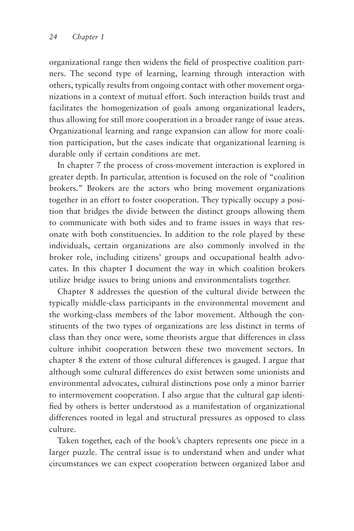organizational range then widens the field of prospective coalition partners. The second type of learning, learning through interaction with others, typically results from ongoing contact with other movement organizations in a context of mutual effort. Such interaction builds trust and facilitates the homogenization of goals among organizational leaders, thus allowing for still more cooperation in a broader range of issue areas. Organizational learning and range expansion can allow for more coalition participation, but the cases indicate that organizational learning is durable only if certain conditions are met.

In chapter 7 the process of cross-movement interaction is explored in greater depth. In particular, attention is focused on the role of "coalition brokers." Brokers are the actors who bring movement organizations together in an effort to foster cooperation. They typically occupy a position that bridges the divide between the distinct groups allowing them to communicate with both sides and to frame issues in ways that resonate with both constituencies. In addition to the role played by these individuals, certain organizations are also commonly involved in the broker role, including citizens' groups and occupational health advocates. In this chapter I document the way in which coalition brokers utilize bridge issues to bring unions and environmentalists together.

Chapter 8 addresses the question of the cultural divide between the typically middle-class participants in the environmental movement and the working-class members of the labor movement. Although the constituents of the two types of organizations are less distinct in terms of class than they once were, some theorists argue that differences in class culture inhibit cooperation between these two movement sectors. In chapter 8 the extent of those cultural differences is gauged. I argue that although some cultural differences do exist between some unionists and environmental advocates, cultural distinctions pose only a minor barrier to intermovement cooperation. I also argue that the cultural gap identified by others is better understood as a manifestation of organizational differences rooted in legal and structural pressures as opposed to class culture.

Taken together, each of the book's chapters represents one piece in a larger puzzle. The central issue is to understand when and under what circumstances we can expect cooperation between organized labor and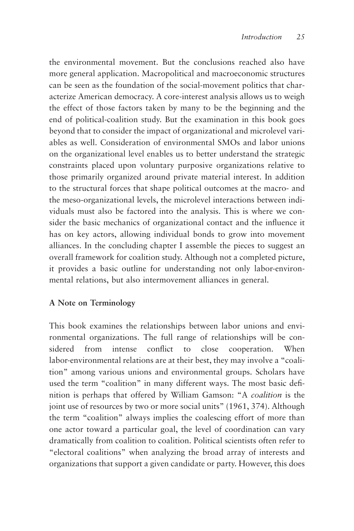the environmental movement. But the conclusions reached also have more general application. Macropolitical and macroeconomic structures can be seen as the foundation of the social-movement politics that characterize American democracy. A core-interest analysis allows us to weigh the effect of those factors taken by many to be the beginning and the end of political-coalition study. But the examination in this book goes beyond that to consider the impact of organizational and microlevel variables as well. Consideration of environmental SMOs and labor unions on the organizational level enables us to better understand the strategic constraints placed upon voluntary purposive organizations relative to those primarily organized around private material interest. In addition to the structural forces that shape political outcomes at the macro- and the meso-organizational levels, the microlevel interactions between individuals must also be factored into the analysis. This is where we consider the basic mechanics of organizational contact and the influence it has on key actors, allowing individual bonds to grow into movement alliances. In the concluding chapter I assemble the pieces to suggest an overall framework for coalition study. Although not a completed picture, it provides a basic outline for understanding not only labor-environmental relations, but also intermovement alliances in general.

## **A Note on Terminology**

This book examines the relationships between labor unions and environmental organizations. The full range of relationships will be considered from intense conflict to close cooperation. When labor-environmental relations are at their best, they may involve a "coalition" among various unions and environmental groups. Scholars have used the term "coalition" in many different ways. The most basic definition is perhaps that offered by William Gamson: "A *coalition* is the joint use of resources by two or more social units" (1961, 374). Although the term "coalition" always implies the coalescing effort of more than one actor toward a particular goal, the level of coordination can vary dramatically from coalition to coalition. Political scientists often refer to "electoral coalitions" when analyzing the broad array of interests and organizations that support a given candidate or party. However, this does